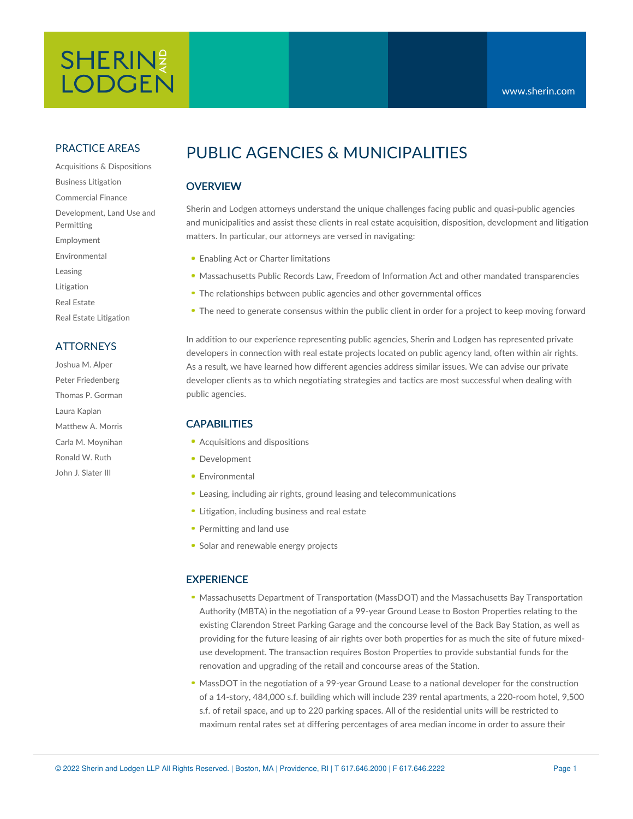# SHERIN? **LODGEN**

### PRACTICE AREAS

Acquisitions & Dispositions Business Litigation Commercial Finance Development, Land Use and Permitting Employment Environmental Leasing Litigation Real Estate Real Estate Litigation

### **ATTORNEYS**

Joshua M. Alper Peter Friedenberg Thomas P. Gorman Laura Kaplan Matthew A. Morris Carla M. Moynihan Ronald W. Ruth John J. Slater III

# PUBLIC AGENCIES & MUNICIPALITIES

## **OVERVIEW**

Sherin and Lodgen attorneys understand the unique challenges facing public and quasi-public agencies and municipalities and assist these clients in real estate acquisition, disposition, development and litigation matters. In particular, our attorneys are versed in navigating:

- **Enabling Act or Charter limitations**
- Massachusetts Public Records Law, Freedom of Information Act and other mandated transparencies
- The relationships between public agencies and other governmental offices
- The need to generate consensus within the public client in order for a project to keep moving forward

In addition to our experience representing public agencies, Sherin and Lodgen has represented private developers in connection with real estate projects located on public agency land, often within air rights. As a result, we have learned how different agencies address similar issues. We can advise our private developer clients as to which negotiating strategies and tactics are most successful when dealing with public agencies.

#### CAPABILITIES

- Acquisitions and dispositions
- Development
- **Environmental**
- Leasing, including air rights, ground leasing and telecommunications
- **Litigation, including business and real estate**
- Permitting and land use
- **Solar and renewable energy projects**

### **EXPERIENCE**

- Massachusetts Department of Transportation (MassDOT) and the Massachusetts Bay Transportation Authority (MBTA) in the negotiation of a 99-year Ground Lease to Boston Properties relating to the existing Clarendon Street Parking Garage and the concourse level of the Back Bay Station, as well as providing for the future leasing of air rights over both properties for as much the site of future mixeduse development. The transaction requires Boston Properties to provide substantial funds for the renovation and upgrading of the retail and concourse areas of the Station.
- MassDOT in the negotiation of a 99-year Ground Lease to a national developer for the construction of a 14-story, 484,000 s.f. building which will include 239 rental apartments, a 220-room hotel, 9,500 s.f. of retail space, and up to 220 parking spaces. All of the residential units will be restricted to maximum rental rates set at differing percentages of area median income in order to assure their